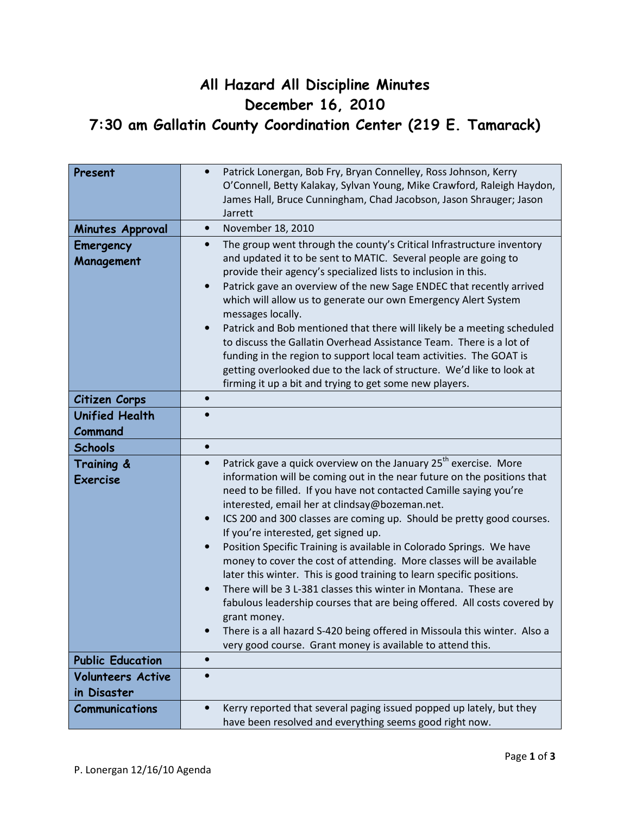## All Hazard All Discipline Minutes December 16, 2010 7:30 am Gallatin County Coordination Center (219 E. Tamarack)

| Present                                 | Patrick Lonergan, Bob Fry, Bryan Connelley, Ross Johnson, Kerry<br>O'Connell, Betty Kalakay, Sylvan Young, Mike Crawford, Raleigh Haydon,<br>James Hall, Bruce Cunningham, Chad Jacobson, Jason Shrauger; Jason<br>Jarrett                                                                                                                                                                                                                                                                                                                                                                                                                                                                                                                                                                                                                                                                                                                                                 |  |  |
|-----------------------------------------|----------------------------------------------------------------------------------------------------------------------------------------------------------------------------------------------------------------------------------------------------------------------------------------------------------------------------------------------------------------------------------------------------------------------------------------------------------------------------------------------------------------------------------------------------------------------------------------------------------------------------------------------------------------------------------------------------------------------------------------------------------------------------------------------------------------------------------------------------------------------------------------------------------------------------------------------------------------------------|--|--|
| Minutes Approval                        | November 18, 2010<br>$\bullet$                                                                                                                                                                                                                                                                                                                                                                                                                                                                                                                                                                                                                                                                                                                                                                                                                                                                                                                                             |  |  |
| Emergency<br>Management                 | The group went through the county's Critical Infrastructure inventory<br>$\bullet$<br>and updated it to be sent to MATIC. Several people are going to<br>provide their agency's specialized lists to inclusion in this.<br>Patrick gave an overview of the new Sage ENDEC that recently arrived<br>which will allow us to generate our own Emergency Alert System<br>messages locally.<br>Patrick and Bob mentioned that there will likely be a meeting scheduled<br>to discuss the Gallatin Overhead Assistance Team. There is a lot of<br>funding in the region to support local team activities. The GOAT is<br>getting overlooked due to the lack of structure. We'd like to look at<br>firming it up a bit and trying to get some new players.                                                                                                                                                                                                                        |  |  |
| Citizen Corps                           | $\bullet$                                                                                                                                                                                                                                                                                                                                                                                                                                                                                                                                                                                                                                                                                                                                                                                                                                                                                                                                                                  |  |  |
| <b>Unified Health</b><br>Command        |                                                                                                                                                                                                                                                                                                                                                                                                                                                                                                                                                                                                                                                                                                                                                                                                                                                                                                                                                                            |  |  |
| <b>Schools</b>                          | $\bullet$                                                                                                                                                                                                                                                                                                                                                                                                                                                                                                                                                                                                                                                                                                                                                                                                                                                                                                                                                                  |  |  |
| Training &<br><b>Exercise</b>           | Patrick gave a quick overview on the January 25 <sup>th</sup> exercise. More<br>$\bullet$<br>information will be coming out in the near future on the positions that<br>need to be filled. If you have not contacted Camille saying you're<br>interested, email her at clindsay@bozeman.net.<br>ICS 200 and 300 classes are coming up. Should be pretty good courses.<br>$\bullet$<br>If you're interested, get signed up.<br>Position Specific Training is available in Colorado Springs. We have<br>$\bullet$<br>money to cover the cost of attending. More classes will be available<br>later this winter. This is good training to learn specific positions.<br>There will be 3 L-381 classes this winter in Montana. These are<br>fabulous leadership courses that are being offered. All costs covered by<br>grant money.<br>There is a all hazard S-420 being offered in Missoula this winter. Also a<br>very good course. Grant money is available to attend this. |  |  |
| <b>Public Education</b>                 | $\bullet$                                                                                                                                                                                                                                                                                                                                                                                                                                                                                                                                                                                                                                                                                                                                                                                                                                                                                                                                                                  |  |  |
| <b>Volunteers Active</b><br>in Disaster |                                                                                                                                                                                                                                                                                                                                                                                                                                                                                                                                                                                                                                                                                                                                                                                                                                                                                                                                                                            |  |  |
| <b>Communications</b>                   | Kerry reported that several paging issued popped up lately, but they<br>have been resolved and everything seems good right now.                                                                                                                                                                                                                                                                                                                                                                                                                                                                                                                                                                                                                                                                                                                                                                                                                                            |  |  |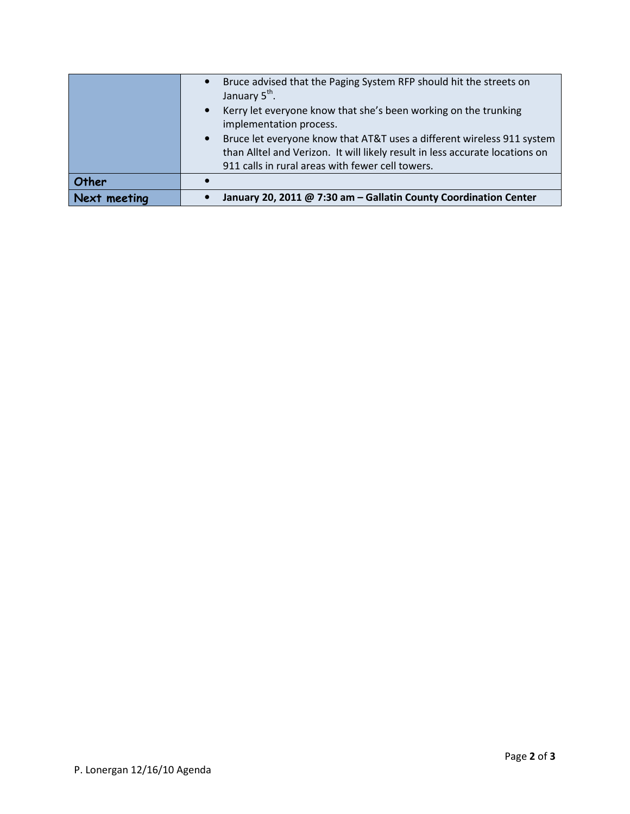| Next meeting |                           | January 20, 2011 @ 7:30 am - Gallatin County Coordination Center             |
|--------------|---------------------------|------------------------------------------------------------------------------|
| Other        |                           |                                                                              |
|              |                           | 911 calls in rural areas with fewer cell towers.                             |
|              |                           | than Alltel and Verizon. It will likely result in less accurate locations on |
|              |                           | Bruce let everyone know that AT&T uses a different wireless 911 system       |
|              |                           | implementation process.                                                      |
|              |                           | Kerry let everyone know that she's been working on the trunking              |
|              | January 5 <sup>th</sup> . |                                                                              |
|              |                           | Bruce advised that the Paging System RFP should hit the streets on           |